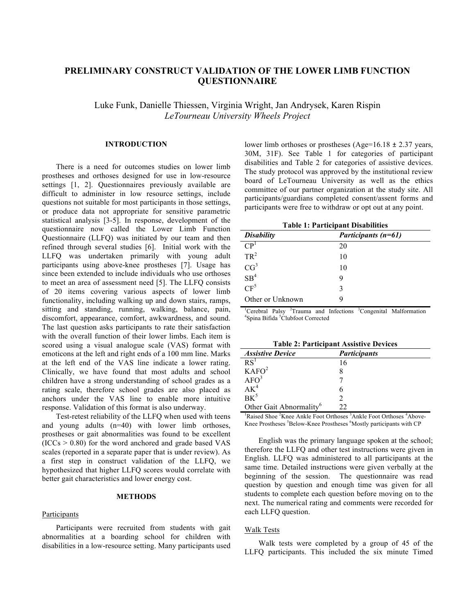# **PRELIMINARY CONSTRUCT VALIDATION OF THE LOWER LIMB FUNCTION QUESTIONNAIRE**

Luke Funk, Danielle Thiessen, Virginia Wright, Jan Andrysek, Karen Rispin *LeTourneau University Wheels Project*

#### **INTRODUCTION**

There is a need for outcomes studies on lower limb prostheses and orthoses designed for use in low-resource settings [1, 2]. Questionnaires previously available are difficult to administer in low resource settings, include questions not suitable for most participants in those settings, or produce data not appropriate for sensitive parametric statistical analysis [3-5]. In response, development of the questionnaire now called the Lower Limb Function Questionnaire (LLFQ) was initiated by our team and then refined through several studies [6]. Initial work with the LLFQ was undertaken primarily with young adult participants using above-knee prostheses [7]. Usage has since been extended to include individuals who use orthoses to meet an area of assessment need [5]. The LLFQ consists of 20 items covering various aspects of lower limb functionality, including walking up and down stairs, ramps, sitting and standing, running, walking, balance, pain, discomfort, appearance, comfort, awkwardness, and sound. The last question asks participants to rate their satisfaction with the overall function of their lower limbs. Each item is scored using a visual analogue scale (VAS) format with emoticons at the left and right ends of a 100 mm line. Marks at the left end of the VAS line indicate a lower rating. Clinically, we have found that most adults and school children have a strong understanding of school grades as a rating scale, therefore school grades are also placed as anchors under the VAS line to enable more intuitive response. Validation of this format is also underway.

Test-retest reliability of the LLFQ when used with teens and young adults (n=40) with lower limb orthoses, prostheses or gait abnormalities was found to be excellent  $(ICCs > 0.80)$  for the word anchored and grade based VAS scales (reported in a separate paper that is under review). As a first step in construct validation of the LLFQ, we hypothesized that higher LLFQ scores would correlate with better gait characteristics and lower energy cost.

#### **METHODS**

#### Participants

Participants were recruited from students with gait abnormalities at a boarding school for children with disabilities in a low-resource setting. Many participants used lower limb orthoses or prostheses (Age=16.18 ± 2.37 years, 30M, 31F). See Table 1 for categories of participant disabilities and Table 2 for categories of assistive devices. The study protocol was approved by the institutional review board of LeTourneau University as well as the ethics committee of our partner organization at the study site. All participants/guardians completed consent/assent forms and participants were free to withdraw or opt out at any point.

| <b>Table 1: Participant Disabilities</b> |                       |  |
|------------------------------------------|-----------------------|--|
| <b>Disability</b>                        | Participants $(n=61)$ |  |
| $\mathbf{CP}^1$                          | 20                    |  |
| $TR^2$                                   | 10                    |  |
| CG <sup>3</sup>                          | 10                    |  |
| SB <sup>4</sup>                          | 9                     |  |
| $CF^5$                                   | 3                     |  |
| Other or Unknown                         | g                     |  |

<sup>1</sup>Cerebral Palsy <sup>2</sup>Trauma and Infections <sup>3</sup>Congenital Malformation <sup>4</sup>Snine Bifide <sup>5</sup>Clubfoot Corrected Spina Bifida<sup>5</sup>Clubfoot Corrected

|  | <b>Table 2: Participant Assistive Devices</b> |
|--|-----------------------------------------------|
|--|-----------------------------------------------|

| <b>Assistive Device</b>             | <b>Participants</b> |
|-------------------------------------|---------------------|
| RS <sup>T</sup>                     | 16                  |
| KAFO <sup>2</sup>                   |                     |
| AFO <sup>3</sup>                    |                     |
| $AK^4$                              | n                   |
| $BK^5$                              |                     |
| Other Gait Abnormality <sup>6</sup> | フフ                  |

<sup>1</sup>Raised Shoe <sup>2</sup>Knee Ankle Foot Orthoses <sup>3</sup>Ankle Foot Orthoses <sup>4</sup>Above-Knee Prostheses <sup>5</sup>Below-Knee Prostheses <sup>6</sup>Mostly participants with CP

English was the primary language spoken at the school; therefore the LLFQ and other test instructions were given in English. LLFQ was administered to all participants at the same time. Detailed instructions were given verbally at the beginning of the session. The questionnaire was read question by question and enough time was given for all students to complete each question before moving on to the next. The numerical rating and comments were recorded for each LLFQ question.

## Walk Tests

Walk tests were completed by a group of 45 of the LLFQ participants. This included the six minute Timed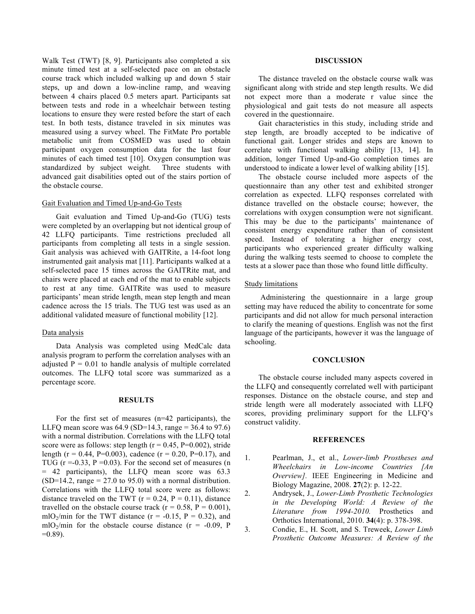Walk Test (TWT) [8, 9]. Participants also completed a six minute timed test at a self-selected pace on an obstacle course track which included walking up and down 5 stair steps, up and down a low-incline ramp, and weaving between 4 chairs placed 0.5 meters apart. Participants sat between tests and rode in a wheelchair between testing locations to ensure they were rested before the start of each test. In both tests, distance traveled in six minutes was measured using a survey wheel. The FitMate Pro portable metabolic unit from COSMED was used to obtain participant oxygen consumption data for the last four minutes of each timed test [10]. Oxygen consumption was standardized by subject weight. Three students with advanced gait disabilities opted out of the stairs portion of the obstacle course.

## Gait Evaluation and Timed Up-and-Go Tests

Gait evaluation and Timed Up-and-Go (TUG) tests were completed by an overlapping but not identical group of 42 LLFQ participants. Time restrictions precluded all participants from completing all tests in a single session. Gait analysis was achieved with GAITRite, a 14-foot long instrumented gait analysis mat [11]. Participants walked at a self-selected pace 15 times across the GAITRite mat, and chairs were placed at each end of the mat to enable subjects to rest at any time. GAITRite was used to measure participants' mean stride length, mean step length and mean cadence across the 15 trials. The TUG test was used as an additional validated measure of functional mobility [12].

#### Data analysis

Data Analysis was completed using MedCalc data analysis program to perform the correlation analyses with an adjusted  $P = 0.01$  to handle analysis of multiple correlated outcomes. The LLFQ total score was summarized as a percentage score.

#### **RESULTS**

For the first set of measures (n=42 participants), the LLFQ mean score was  $64.9$  (SD=14.3, range = 36.4 to 97.6) with a normal distribution. Correlations with the LLFQ total score were as follows: step length ( $r = 0.45$ ,  $P=0.002$ ), stride length ( $r = 0.44$ , P=0.003), cadence ( $r = 0.20$ , P=0.17), and TUG  $(r = 0.33, P = 0.03)$ . For the second set of measures (n = 42 participants), the LLFQ mean score was 63.3  $(SD=14.2, \text{range} = 27.0 \text{ to } 95.0)$  with a normal distribution. Correlations with the LLFQ total score were as follows: distance traveled on the TWT ( $r = 0.24$ ,  $P = 0.11$ ), distance travelled on the obstacle course track ( $r = 0.58$ ,  $P = 0.001$ ), mlO<sub>2</sub>/min for the TWT distance ( $r = -0.15$ ,  $P = 0.32$ ), and mlO<sub>2</sub>/min for the obstacle course distance ( $r = -0.09$ , P  $=0.89$ ).

# **DISCUSSION**

The distance traveled on the obstacle course walk was significant along with stride and step length results. We did not expect more than a moderate r value since the physiological and gait tests do not measure all aspects covered in the questionnaire.

Gait characteristics in this study, including stride and step length, are broadly accepted to be indicative of functional gait. Longer strides and steps are known to correlate with functional walking ability [13, 14]. In addition, longer Timed Up-and-Go completion times are understood to indicate a lower level of walking ability [15].

The obstacle course included more aspects of the questionnaire than any other test and exhibited stronger correlation as expected. LLFQ responses correlated with distance travelled on the obstacle course; however, the correlations with oxygen consumption were not significant. This may be due to the participants' maintenance of consistent energy expenditure rather than of consistent speed. Instead of tolerating a higher energy cost, participants who experienced greater difficulty walking during the walking tests seemed to choose to complete the tests at a slower pace than those who found little difficulty.

#### Study limitations

Administering the questionnaire in a large group setting may have reduced the ability to concentrate for some participants and did not allow for much personal interaction to clarify the meaning of questions. English was not the first language of the participants, however it was the language of schooling.

## **CONCLUSION**

The obstacle course included many aspects covered in the LLFQ and consequently correlated well with participant responses. Distance on the obstacle course, and step and stride length were all moderately associated with LLFQ scores, providing preliminary support for the LLFQ's construct validity.

#### **REFERENCES**

- 1. Pearlman, J., et al., *Lower-limb Prostheses and Wheelchairs in Low-income Countries [An Overview].* IEEE Engineering in Medicine and Biology Magazine, 2008. **27**(2): p. 12-22.
- 2. Andrysek, J., *Lower-Limb Prosthetic Technologies in the Developing World: A Review of the Literature from 1994-2010.* Prosthetics and Orthotics International, 2010. **34**(4): p. 378-398.
- 3. Condie, E., H. Scott, and S. Treweek, *Lower Limb Prosthetic Outcome Measures: A Review of the*